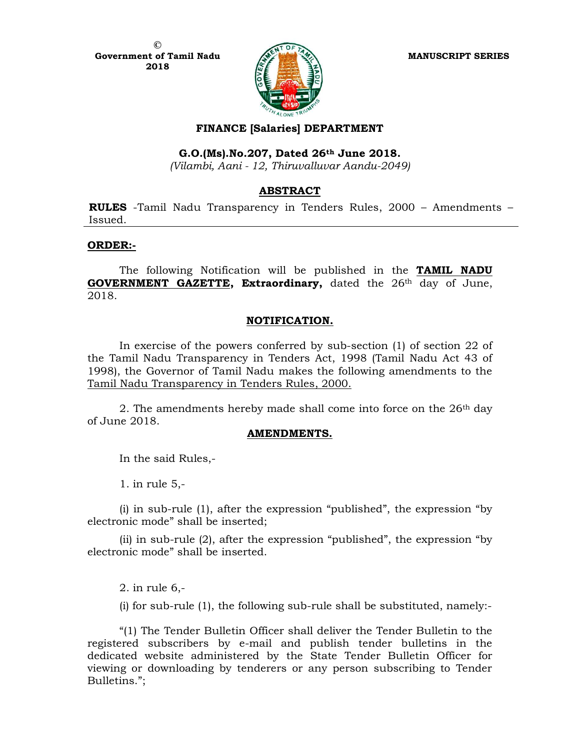

# FINANCE [Salaries] DEPARTMENT

## G.O.(Ms).No.207, Dated 26th June 2018.

(Vilambi, Aani - 12, Thiruvalluvar Aandu-2049)

### ABSTRACT

RULES -Tamil Nadu Transparency in Tenders Rules, 2000 – Amendments – Issued.

#### ORDER:-

The following Notification will be published in the **TAMIL NADU** GOVERNMENT GAZETTE, Extraordinary, dated the 26<sup>th</sup> day of June, 2018.

### NOTIFICATION.

 In exercise of the powers conferred by sub-section (1) of section 22 of the Tamil Nadu Transparency in Tenders Act, 1998 (Tamil Nadu Act 43 of 1998), the Governor of Tamil Nadu makes the following amendments to the Tamil Nadu Transparency in Tenders Rules, 2000.

2. The amendments hereby made shall come into force on the  $26<sup>th</sup>$  day of June 2018.

#### AMENDMENTS.

In the said Rules,-

1. in rule 5,-

(i) in sub-rule (1), after the expression "published", the expression "by electronic mode" shall be inserted;

(ii) in sub-rule (2), after the expression "published", the expression "by electronic mode" shall be inserted.

2. in rule 6,-

(i) for sub-rule (1), the following sub-rule shall be substituted, namely:-

"(1) The Tender Bulletin Officer shall deliver the Tender Bulletin to the registered subscribers by e-mail and publish tender bulletins in the dedicated website administered by the State Tender Bulletin Officer for viewing or downloading by tenderers or any person subscribing to Tender Bulletins.";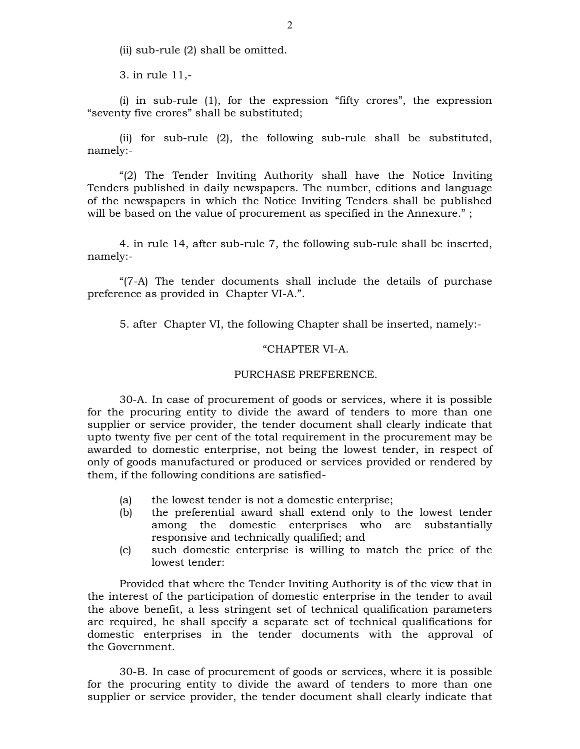(ii) sub-rule (2) shall be omitted.

3. in rule 11,-

(i) in sub-rule (1), for the expression "fifty crores", the expression "seventy five crores" shall be substituted;

(ii) for sub-rule (2), the following sub-rule shall be substituted, namely:-

"(2) The Tender Inviting Authority shall have the Notice Inviting Tenders published in daily newspapers. The number, editions and language of the newspapers in which the Notice Inviting Tenders shall be published will be based on the value of procurement as specified in the Annexure." ;

4. in rule 14, after sub-rule 7, the following sub-rule shall be inserted, namely:-

"(7-A) The tender documents shall include the details of purchase preference as provided in Chapter VI-A.".

5. after Chapter VI, the following Chapter shall be inserted, namely:-

#### "CHAPTER VI-A.

#### PURCHASE PREFERENCE.

30-A. In case of procurement of goods or services, where it is possible for the procuring entity to divide the award of tenders to more than one supplier or service provider, the tender document shall clearly indicate that upto twenty five per cent of the total requirement in the procurement may be awarded to domestic enterprise, not being the lowest tender, in respect of only of goods manufactured or produced or services provided or rendered by them, if the following conditions are satisfied-

- (a) the lowest tender is not a domestic enterprise;
- (b) the preferential award shall extend only to the lowest tender among the domestic enterprises who are substantially responsive and technically qualified; and
- (c) such domestic enterprise is willing to match the price of the lowest tender:

Provided that where the Tender Inviting Authority is of the view that in the interest of the participation of domestic enterprise in the tender to avail the above benefit, a less stringent set of technical qualification parameters are required, he shall specify a separate set of technical qualifications for domestic enterprises in the tender documents with the approval of the Government.

30-B. In case of procurement of goods or services, where it is possible for the procuring entity to divide the award of tenders to more than one supplier or service provider, the tender document shall clearly indicate that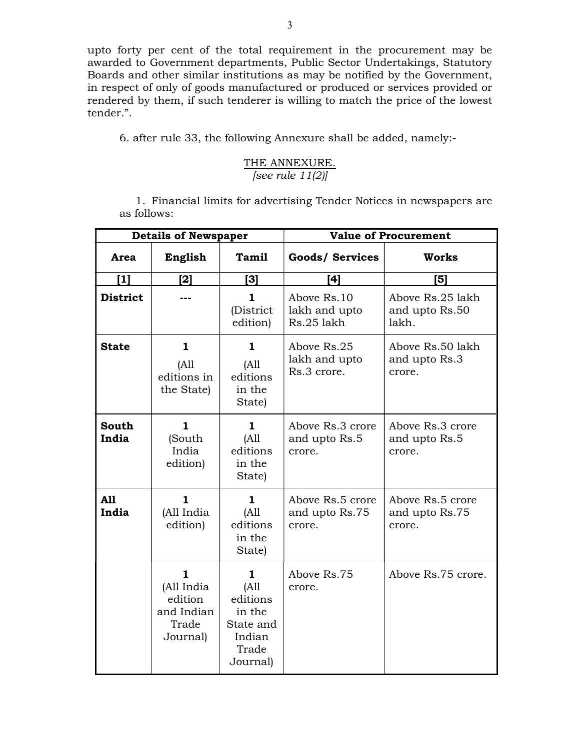upto forty per cent of the total requirement in the procurement may be awarded to Government departments, Public Sector Undertakings, Statutory Boards and other similar institutions as may be notified by the Government, in respect of only of goods manufactured or produced or services provided or rendered by them, if such tenderer is willing to match the price of the lowest tender.".

6. after rule 33, the following Annexure shall be added, namely:-

# THE ANNEXURE. [see rule 11(2)]

1. Financial limits for advertising Tender Notices in newspapers are as follows:

| <b>Details of Newspaper</b> |                                                               |                                                                              | <b>Value of Procurement</b>                  |                                              |
|-----------------------------|---------------------------------------------------------------|------------------------------------------------------------------------------|----------------------------------------------|----------------------------------------------|
| Area                        | English                                                       | Tamil                                                                        | Goods/ Services                              | <b>Works</b>                                 |
| [1]                         | [2]                                                           | [3]                                                                          | [4]                                          | [5]                                          |
| <b>District</b>             |                                                               | 1<br>(District<br>edition)                                                   | Above Rs.10<br>lakh and upto<br>Rs.25 lakh   | Above Rs.25 lakh<br>and upto Rs.50<br>lakh.  |
| <b>State</b>                | 1<br>(A11)<br>editions in<br>the State)                       | 1<br>(A11)<br>editions<br>in the<br>State)                                   | Above Rs.25<br>lakh and upto<br>Rs.3 crore.  | Above Rs.50 lakh<br>and upto Rs.3<br>crore.  |
| <b>South</b><br>India       | 1<br>(South<br>India<br>edition)                              | 1<br>(A11)<br>editions<br>in the<br>State)                                   | Above Rs.3 crore<br>and upto Rs.5<br>crore.  | Above Rs.3 crore<br>and upto Rs.5<br>crore.  |
| A11<br>India                | 1.<br>(All India<br>edition)                                  | 1.<br>(A11)<br>editions<br>in the<br>State)                                  | Above Rs.5 crore<br>and upto Rs.75<br>crore. | Above Rs.5 crore<br>and upto Rs.75<br>crore. |
|                             | 1<br>(All India<br>edition<br>and Indian<br>Trade<br>Journal) | 1<br>(A11)<br>editions<br>in the<br>State and<br>Indian<br>Trade<br>Journal) | Above Rs.75<br>crore.                        | Above Rs.75 crore.                           |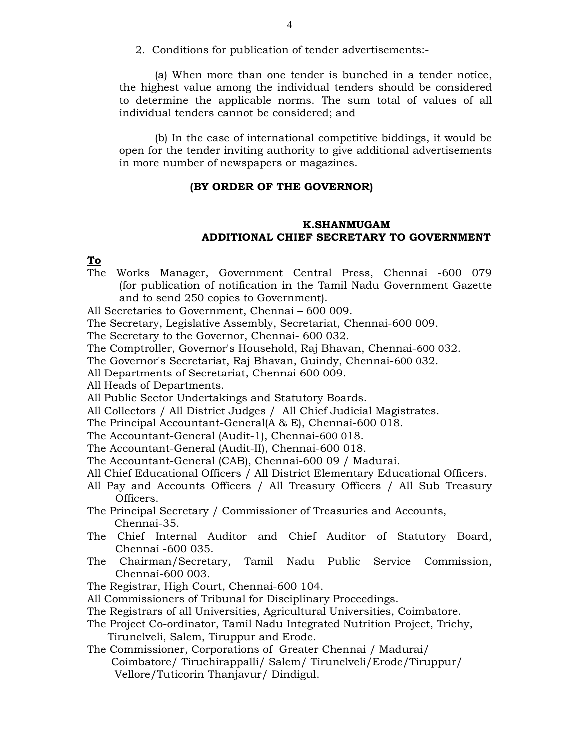2. Conditions for publication of tender advertisements:-

 (a) When more than one tender is bunched in a tender notice, the highest value among the individual tenders should be considered to determine the applicable norms. The sum total of values of all individual tenders cannot be considered; and

 (b) In the case of international competitive biddings, it would be open for the tender inviting authority to give additional advertisements in more number of newspapers or magazines.

### (BY ORDER OF THE GOVERNOR)

## K.SHANMUGAM ADDITIONAL CHIEF SECRETARY TO GOVERNMENT

#### To

- The Works Manager, Government Central Press, Chennai -600 079 (for publication of notification in the Tamil Nadu Government Gazette and to send 250 copies to Government).
- All Secretaries to Government, Chennai 600 009.
- The Secretary, Legislative Assembly, Secretariat, Chennai-600 009.
- The Secretary to the Governor, Chennai- 600 032.
- The Comptroller, Governor's Household, Raj Bhavan, Chennai-600 032.
- The Governor's Secretariat, Raj Bhavan, Guindy, Chennai-600 032.
- All Departments of Secretariat, Chennai 600 009.
- All Heads of Departments.
- All Public Sector Undertakings and Statutory Boards.
- All Collectors / All District Judges / All Chief Judicial Magistrates.
- The Principal Accountant-General(A & E), Chennai-600 018.
- The Accountant-General (Audit-1), Chennai-600 018.
- The Accountant-General (Audit-II), Chennai-600 018.
- The Accountant-General (CAB), Chennai-600 09 / Madurai.
- All Chief Educational Officers / All District Elementary Educational Officers.
- All Pay and Accounts Officers / All Treasury Officers / All Sub Treasury Officers.

The Principal Secretary / Commissioner of Treasuries and Accounts, Chennai-35.

- The Chief Internal Auditor and Chief Auditor of Statutory Board, Chennai -600 035.
- The Chairman/Secretary, Tamil Nadu Public Service Commission, Chennai-600 003.
- The Registrar, High Court, Chennai-600 104.
- All Commissioners of Tribunal for Disciplinary Proceedings.
- The Registrars of all Universities, Agricultural Universities, Coimbatore.
- The Project Co-ordinator, Tamil Nadu Integrated Nutrition Project, Trichy, Tirunelveli, Salem, Tiruppur and Erode.
- The Commissioner, Corporations of Greater Chennai / Madurai/ Coimbatore/ Tiruchirappalli/ Salem/ Tirunelveli/Erode/Tiruppur/ Vellore/Tuticorin Thanjavur/ Dindigul.